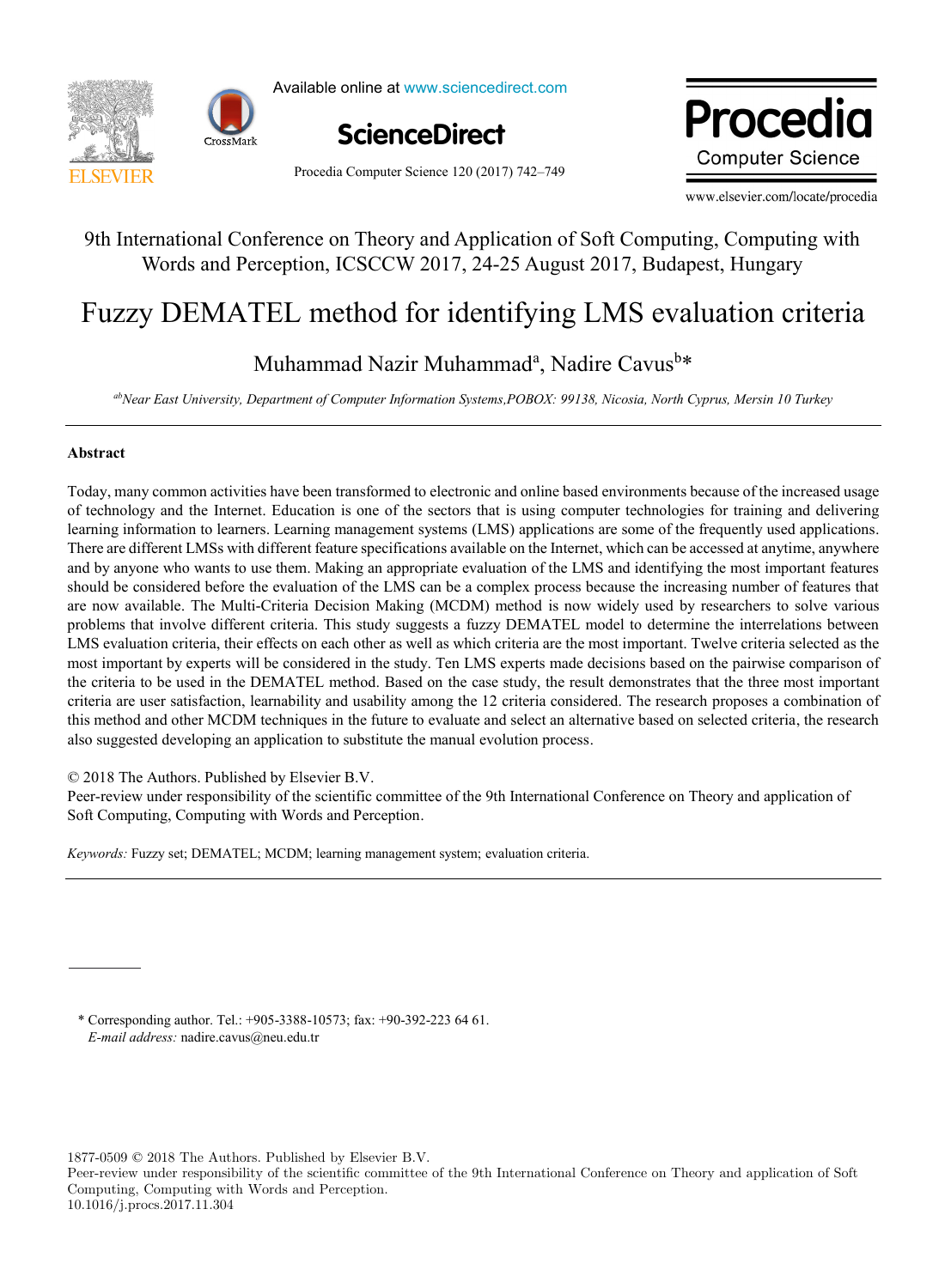



Available online at www.sciencedirect.com



Procedia Computer Science 120 (2017) 742–749

Procedia **Computer Science** 

www.elsevier.com/locate/procedia

### 9th International Conference on Theory and Application of Soft Computing, Computing with 9th International Conference on Theory and Application of Soft Computing, Computing with Words and Perception, ICSCCW 2017, 24-25 August 2017, Budapest, Hungary Words and Perception, ICSCCW 2017, 22-23 August 2017, Budapest, Hungary

# Fuzzy DEMATEL method for identifying LMS evaluation criteria

## Muhammad Nazir Muhammad<sup>a</sup>, Nadire Cavus<sup>b\*</sup>

*abNear East University, Department of Computer Information Systems,POBOX: 99138, Nicosia, North Cyprus, Mersin 10 Turkey*

#### **Abstract**

Today, many common activities have been transformed to electronic and online based environments because of the increased usage of technology and the Internet. Education is one of the sectors that is using computer technologies for training and delivering learning information to learners. Learning management systems (LMS) applications are some of the frequently used applications. There are different LMSs with different feature specifications available on the Internet, which can be accessed at anytime, anywhere and by anyone who wants to use them. Making an appropriate evaluation of the LMS and identifying the most important features should be considered before the evaluation of the LMS can be a complex process because the increasing number of features that are now available. The Multi-Criteria Decision Making (MCDM) method is now widely used by researchers to solve various problems that involve different criteria. This study suggests a fuzzy DEMATEL model to determine the interrelations between LMS evaluation criteria, their effects on each other as well as which criteria are the most important. Twelve criteria selected as the most important by experts will be considered in the study. Ten LMS experts made decisions based on the pairwise comparison of the criteria to be used in the DEMATEL method. Based on the case study, the result demonstrates that the three most important criteria are user satisfaction, learnability and usability among the 12 criteria considered. The research proposes a combination of this method and other MCDM techniques in the future to evaluate and select an alternative based on selected criteria, the research also suggested developing an application to substitute the manual evolution process.

© 2018 The Authors. Published by Elsevier B.V.

Peer-review under responsibility of the scientific committee of the 9th International Conference on Theory and application of Soft Computing, Computing with Words and Perception.

*Keywords:* Fuzzy set; DEMATEL; MCDM; learning management system; evaluation criteria.

\* Corresponding author. Tel.: +905-3388-10573; fax: +90-392-223 64 61. *E-mail address:* nadire.cavus@neu.edu.tr

1877-0509 © 2018 The Authors. Published by Elsevier B.V.

Peer-review under responsibility of the scientific committee of the 9th International Conference on Theory and application of Soft Computing, Computing with Words and Perception. 10.1016/j.procs.2017.11.304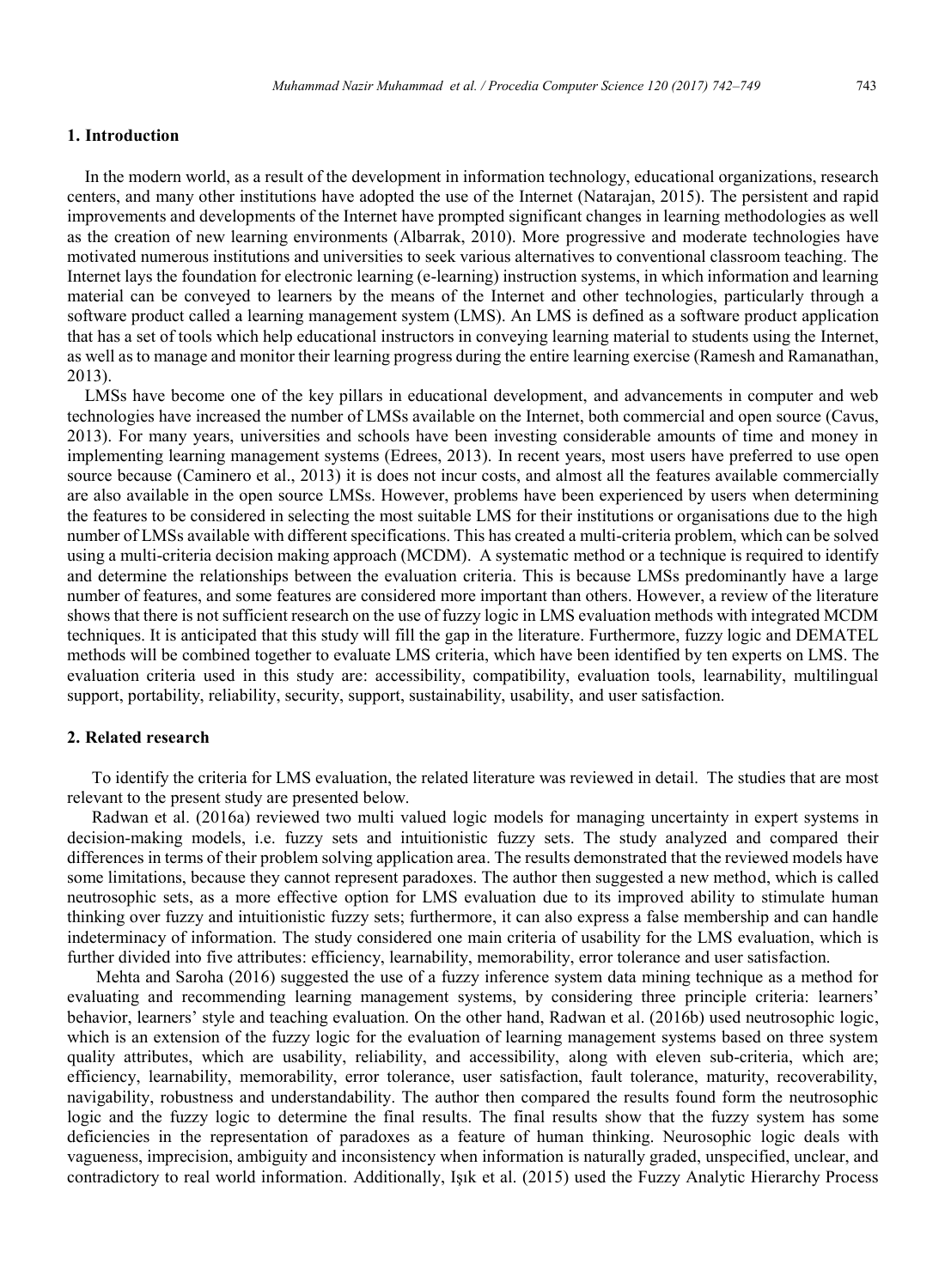#### **1. Introduction**

 In the modern world, as a result of the development in information technology, educational organizations, research centers, and many other institutions have adopted the use of the Internet (Natarajan, 2015). The persistent and rapid improvements and developments of the Internet have prompted significant changes in learning methodologies as well as the creation of new learning environments (Albarrak, 2010). More progressive and moderate technologies have motivated numerous institutions and universities to seek various alternatives to conventional classroom teaching. The Internet lays the foundation for electronic learning (e-learning) instruction systems, in which information and learning material can be conveyed to learners by the means of the Internet and other technologies, particularly through a software product called a learning management system (LMS). An LMS is defined as a software product application that has a set of tools which help educational instructors in conveying learning material to students using the Internet, as well as to manage and monitor their learning progress during the entire learning exercise (Ramesh and Ramanathan, 2013).

 LMSs have become one of the key pillars in educational development, and advancements in computer and web technologies have increased the number of LMSs available on the Internet, both commercial and open source (Cavus, 2013). For many years, universities and schools have been investing considerable amounts of time and money in implementing learning management systems (Edrees, 2013). In recent years, most users have preferred to use open source because (Caminero et al., 2013) it is does not incur costs, and almost all the features available commercially are also available in the open source LMSs. However, problems have been experienced by users when determining the features to be considered in selecting the most suitable LMS for their institutions or organisations due to the high number of LMSs available with different specifications. This has created a multi-criteria problem, which can be solved using a multi-criteria decision making approach (MCDM). A systematic method or a technique is required to identify and determine the relationships between the evaluation criteria. This is because LMSs predominantly have a large number of features, and some features are considered more important than others. However, a review of the literature shows that there is not sufficient research on the use of fuzzy logic in LMS evaluation methods with integrated MCDM techniques. It is anticipated that this study will fill the gap in the literature. Furthermore, fuzzy logic and DEMATEL methods will be combined together to evaluate LMS criteria, which have been identified by ten experts on LMS. The evaluation criteria used in this study are: accessibility, compatibility, evaluation tools, learnability, multilingual support, portability, reliability, security, support, sustainability, usability, and user satisfaction.

#### **2. Related research**

To identify the criteria for LMS evaluation, the related literature was reviewed in detail. The studies that are most relevant to the present study are presented below.

Radwan et al. (2016a) reviewed two multi valued logic models for managing uncertainty in expert systems in decision-making models, i.e. fuzzy sets and intuitionistic fuzzy sets. The study analyzed and compared their differences in terms of their problem solving application area. The results demonstrated that the reviewed models have some limitations, because they cannot represent paradoxes. The author then suggested a new method, which is called neutrosophic sets, as a more effective option for LMS evaluation due to its improved ability to stimulate human thinking over fuzzy and intuitionistic fuzzy sets; furthermore, it can also express a false membership and can handle indeterminacy of information. The study considered one main criteria of usability for the LMS evaluation, which is further divided into five attributes: efficiency, learnability, memorability, error tolerance and user satisfaction.

Mehta and Saroha (2016) suggested the use of a fuzzy inference system data mining technique as a method for evaluating and recommending learning management systems, by considering three principle criteria: learners' behavior, learners' style and teaching evaluation. On the other hand, Radwan et al. (2016b) used neutrosophic logic, which is an extension of the fuzzy logic for the evaluation of learning management systems based on three system quality attributes, which are usability, reliability, and accessibility, along with eleven sub-criteria, which are; efficiency, learnability, memorability, error tolerance, user satisfaction, fault tolerance, maturity, recoverability, navigability, robustness and understandability. The author then compared the results found form the neutrosophic logic and the fuzzy logic to determine the final results. The final results show that the fuzzy system has some deficiencies in the representation of paradoxes as a feature of human thinking. Neurosophic logic deals with vagueness, imprecision, ambiguity and inconsistency when information is naturally graded, unspecified, unclear, and contradictory to real world information. Additionally, Işık et al. (2015) used the Fuzzy Analytic Hierarchy Process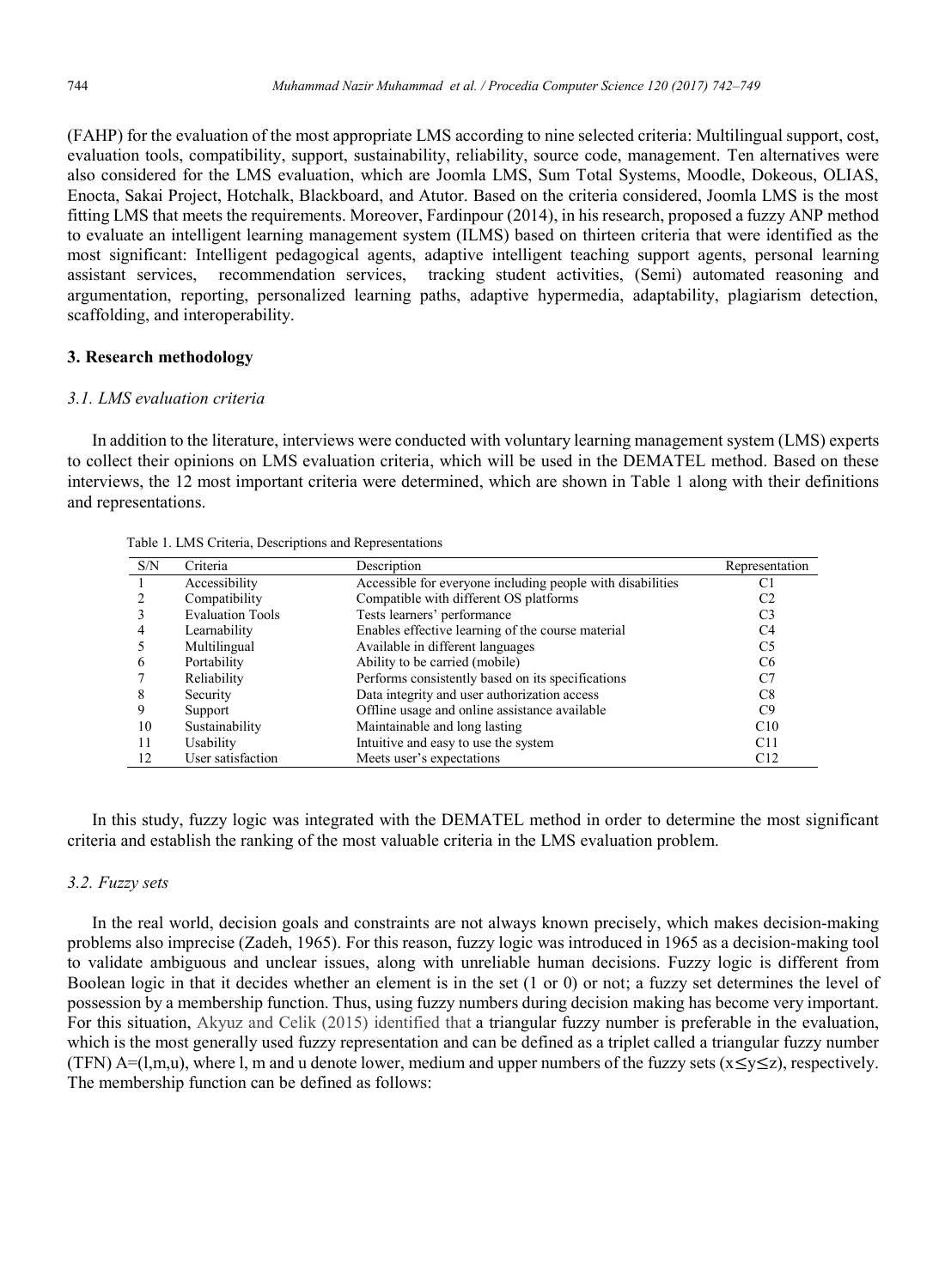(FAHP) for the evaluation of the most appropriate LMS according to nine selected criteria: Multilingual support, cost, evaluation tools, compatibility, support, sustainability, reliability, source code, management. Ten alternatives were also considered for the LMS evaluation, which are Joomla LMS, Sum Total Systems, Moodle, Dokeous, OLIAS, Enocta, Sakai Project, Hotchalk, Blackboard, and Atutor. Based on the criteria considered, Joomla LMS is the most fitting LMS that meets the requirements. Moreover, Fardinpour (2014), in his research, proposed a fuzzy ANP method to evaluate an intelligent learning management system (ILMS) based on thirteen criteria that were identified as the most significant: Intelligent pedagogical agents, adaptive intelligent teaching support agents, personal learning assistant services, recommendation services, tracking student activities, (Semi) automated reasoning and argumentation, reporting, personalized learning paths, adaptive hypermedia, adaptability, plagiarism detection, scaffolding, and interoperability.

#### **3. Research methodology**

#### *3.1. LMS evaluation criteria*

In addition to the literature, interviews were conducted with voluntary learning management system (LMS) experts to collect their opinions on LMS evaluation criteria, which will be used in the DEMATEL method. Based on these interviews, the 12 most important criteria were determined, which are shown in Table 1 along with their definitions and representations.

| Table 1. LMS Criteria, Descriptions and Representations |  |  |  |  |
|---------------------------------------------------------|--|--|--|--|
|---------------------------------------------------------|--|--|--|--|

| S/N | Criteria                | Description                                                | Representation  |
|-----|-------------------------|------------------------------------------------------------|-----------------|
|     | Accessibility           | Accessible for everyone including people with disabilities | C1              |
|     | Compatibility           | Compatible with different OS platforms                     | C2              |
|     | <b>Evaluation Tools</b> | Tests learners' performance                                | C3              |
|     | Learnability            | Enables effective learning of the course material          | C4              |
|     | Multilingual            | Available in different languages                           | C5              |
|     | Portability             | Ability to be carried (mobile)                             | C6              |
|     | Reliability             | Performs consistently based on its specifications          | C7              |
|     | Security                | Data integrity and user authorization access               | C8              |
| 9   | Support                 | Offline usage and online assistance available              | C9              |
| 10  | Sustainability          | Maintainable and long lasting                              | C10             |
| 11  | Usability               | Intuitive and easy to use the system                       | C <sub>11</sub> |
| 12  | User satisfaction       | Meets user's expectations                                  | C12             |

In this study, fuzzy logic was integrated with the DEMATEL method in order to determine the most significant criteria and establish the ranking of the most valuable criteria in the LMS evaluation problem.

#### *3.2. Fuzzy sets*

In the real world, decision goals and constraints are not always known precisely, which makes decision-making problems also imprecise (Zadeh, 1965). For this reason, fuzzy logic was introduced in 1965 as a decision-making tool to validate ambiguous and unclear issues, along with unreliable human decisions. Fuzzy logic is different from Boolean logic in that it decides whether an element is in the set (1 or 0) or not; a fuzzy set determines the level of possession by a membership function. Thus, using fuzzy numbers during decision making has become very important. For this situation, Akyuz and Celik (2015) identified that a triangular fuzzy number is preferable in the evaluation, which is the most generally used fuzzy representation and can be defined as a triplet called a triangular fuzzy number (TFN)  $A=(l,m,u)$ , where l, m and u denote lower, medium and upper numbers of the fuzzy sets ( $x\leq y\leq z$ ), respectively. The membership function can be defined as follows: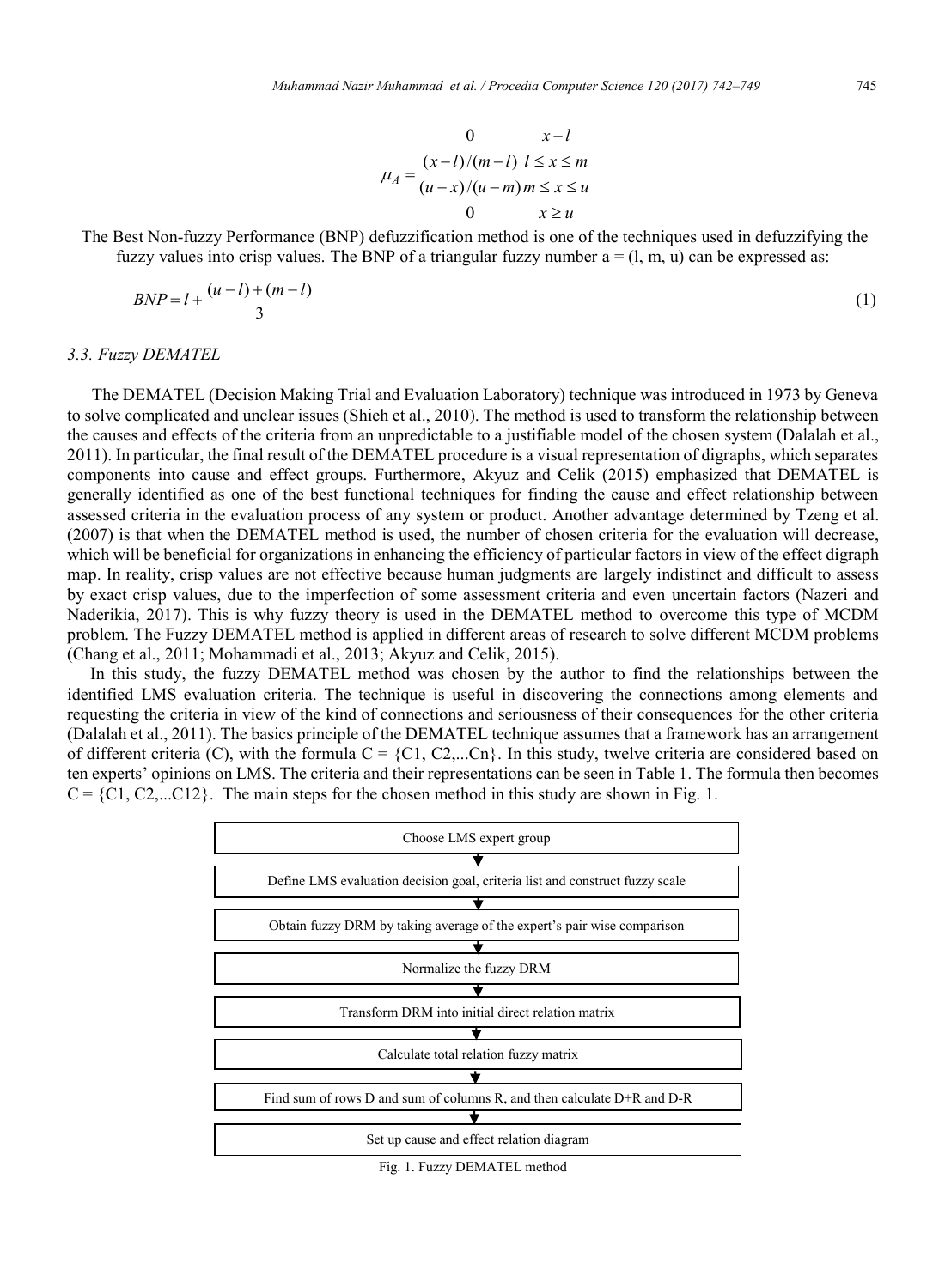$$
0 \t x-l
$$
  
\n
$$
\mu_A = \frac{(x-l)/(m-l)}{(u-x)/(u-m)m} \leq x \leq u
$$
  
\n
$$
0 \t x \geq u
$$

The Best Non-fuzzy Performance (BNP) defuzzification method is one of the techniques used in defuzzifying the fuzzy values into crisp values. The BNP of a triangular fuzzy number  $a = (l, m, u)$  can be expressed as:

$$
BNP = l + \frac{(u-l) + (m-l)}{3}
$$
 (1)

#### *3.3. Fuzzy DEMATEL*

The DEMATEL (Decision Making Trial and Evaluation Laboratory) technique was introduced in 1973 by Geneva to solve complicated and unclear issues (Shieh et al., 2010). The method is used to transform the relationship between the causes and effects of the criteria from an unpredictable to a justifiable model of the chosen system (Dalalah et al., 2011). In particular, the final result of the DEMATEL procedure is a visual representation of digraphs, which separates components into cause and effect groups. Furthermore, Akyuz and Celik (2015) emphasized that DEMATEL is generally identified as one of the best functional techniques for finding the cause and effect relationship between assessed criteria in the evaluation process of any system or product. Another advantage determined by Tzeng et al. (2007) is that when the DEMATEL method is used, the number of chosen criteria for the evaluation will decrease, which will be beneficial for organizations in enhancing the efficiency of particular factors in view of the effect digraph map. In reality, crisp values are not effective because human judgments are largely indistinct and difficult to assess by exact crisp values, due to the imperfection of some assessment criteria and even uncertain factors (Nazeri and Naderikia, 2017). This is why fuzzy theory is used in the DEMATEL method to overcome this type of MCDM problem. The Fuzzy DEMATEL method is applied in different areas of research to solve different MCDM problems (Chang et al., 2011; Mohammadi et al., 2013; Akyuz and Celik, 2015).

In this study, the fuzzy DEMATEL method was chosen by the author to find the relationships between the identified LMS evaluation criteria. The technique is useful in discovering the connections among elements and requesting the criteria in view of the kind of connections and seriousness of their consequences for the other criteria (Dalalah et al., 2011). The basics principle of the DEMATEL technique assumes that a framework has an arrangement of different criteria (C), with the formula  $C = \{C1, C2,...Cn\}$ . In this study, twelve criteria are considered based on ten experts' opinions on LMS. The criteria and their representations can be seen in Table 1. The formula then becomes  $C = \{C_1, C_2, \ldots, C_{12}\}\$ . The main steps for the chosen method in this study are shown in Fig. 1.



Fig. 1. Fuzzy DEMATEL method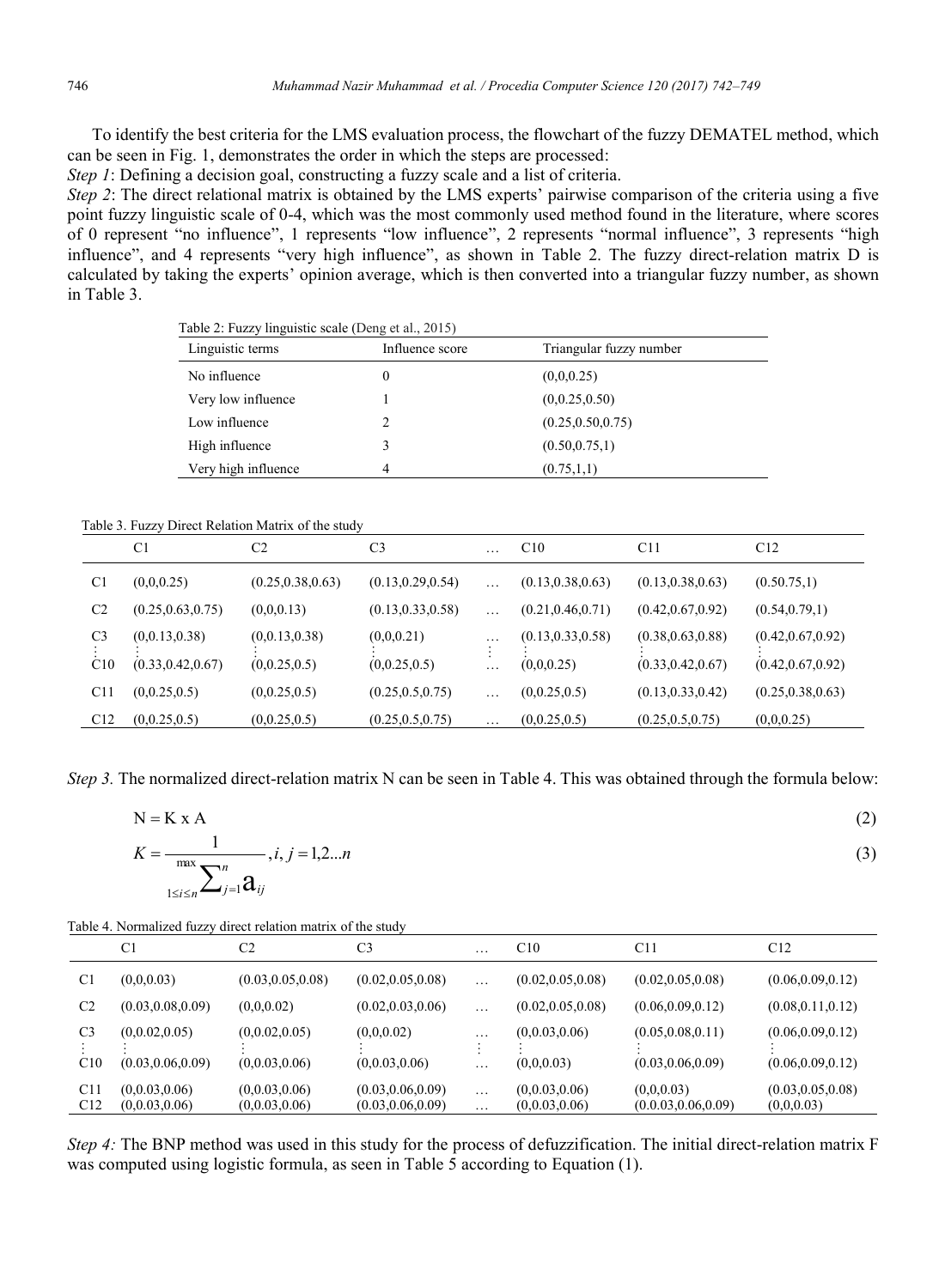To identify the best criteria for the LMS evaluation process, the flowchart of the fuzzy DEMATEL method, which can be seen in Fig. 1, demonstrates the order in which the steps are processed:

*Step 1*: Defining a decision goal, constructing a fuzzy scale and a list of criteria.

*Step 2*: The direct relational matrix is obtained by the LMS experts' pairwise comparison of the criteria using a five point fuzzy linguistic scale of 0-4, which was the most commonly used method found in the literature, where scores of 0 represent "no influence", 1 represents "low influence", 2 represents "normal influence", 3 represents "high influence", and 4 represents "very high influence", as shown in Table 2. The fuzzy direct-relation matrix D is calculated by taking the experts' opinion average, which is then converted into a triangular fuzzy number, as shown in Table 3.

Table 2: Fuzzy linguistic scale (Deng et al., 2015)

| Linguistic terms    | Influence score | Triangular fuzzy number |
|---------------------|-----------------|-------------------------|
| No influence        | $\theta$        | (0,0,0.25)              |
| Very low influence  |                 | (0,0.25,0.50)           |
| Low influence       | 2               | (0.25, 0.50, 0.75)      |
| High influence      | 3               | (0.50, 0.75, 1)         |
| Very high influence | 4               | (0.75, 1, 1)            |

Table 3. Fuzzy Direct Relation Matrix of the study

|                 |                    | Table 5. Fuzzy Direct Kelation Matrix of the study |                    |          |                    |                    |                    |
|-----------------|--------------------|----------------------------------------------------|--------------------|----------|--------------------|--------------------|--------------------|
|                 | C1                 | C <sub>2</sub>                                     | C <sub>3</sub>     | .        | C10                | C <sub>11</sub>    | C12                |
| C1              | (0,0,0.25)         | (0.25, 0.38, 0.63)                                 | (0.13, 0.29, 0.54) | $\cdots$ | (0.13, 0.38, 0.63) | (0.13, 0.38, 0.63) | (0.50.75,1)        |
| C <sub>2</sub>  | (0.25, 0.63, 0.75) | (0,0,0.13)                                         | (0.13, 0.33, 0.58) | $\cdots$ | (0.21, 0.46, 0.71) | (0.42, 0.67, 0.92) | (0.54, 0.79, 1)    |
| C <sub>3</sub>  | (0,0.13,0.38)      | (0,0.13,0.38)                                      | (0,0,0.21)         | $\cdots$ | (0.13, 0.33, 0.58) | (0.38, 0.63, 0.88) | (0.42, 0.67, 0.92) |
| C10             | (0.33, 0.42, 0.67) | (0,0.25,0.5)                                       | (0,0.25,0.5)       | $\cdots$ | (0,0,0.25)         | (0.33, 0.42, 0.67) | (0.42, 0.67, 0.92) |
| C <sub>11</sub> | (0,0.25,0.5)       | (0,0.25,0.5)                                       | (0.25, 0.5, 0.75)  | .        | (0,0.25,0.5)       | (0.13, 0.33, 0.42) | (0.25, 0.38, 0.63) |
| C12             | (0,0.25,0.5)       | (0,0.25,0.5)                                       | (0.25, 0.5, 0.75)  | $\cdots$ | (0,0.25,0.5)       | (0.25, 0.5, 0.75)  | (0,0,0.25)         |

*Step 3.* The normalized direct-relation matrix N can be seen in Table 4. This was obtained through the formula below:

| $N = K x A$                                                   | ا کے ا |
|---------------------------------------------------------------|--------|
| $K = \frac{1}{\sqrt{2\pi}}$<br>$\frac{1}{n}$ , $i, j = 1, 2n$ |        |
| $\sum_{1\leq i\leq n}\sum_{j=1}^n a_{ij}$                     |        |

Table 4. Normalized fuzzy direct relation matrix of the study

|                | C1                             | C2                             | C3                                       | $\cdots$             | C <sub>10</sub>                | C11                                | C12                              |
|----------------|--------------------------------|--------------------------------|------------------------------------------|----------------------|--------------------------------|------------------------------------|----------------------------------|
| C1             | (0,0,0.03)                     | (0.03, 0.05, 0.08)             | (0.02, 0.05, 0.08)                       | $\cdots$             | (0.02, 0.05, 0.08)             | (0.02, 0.05, 0.08)                 | (0.06, 0.09, 0.12)               |
| C <sub>2</sub> | (0.03, 0.08, 0.09)             | (0,0,0.02)                     | (0.02, 0.03, 0.06)                       | $\cdots$             | (0.02, 0.05, 0.08)             | (0.06, 0.09, 0.12)                 | (0.08, 0.11, 0.12)               |
| C <sub>3</sub> | (0,0.02,0.05)                  | (0,0.02,0.05)                  | (0,0,0.02)                               | $\cdots$             | (0,0.03,0.06)                  | (0.05, 0.08, 0.11)                 | (0.06, 0.09, 0.12)               |
| C10            | (0.03, 0.06, 0.09)             | (0,0.03,0.06)                  | (0,0.03,0.06)                            | $\cdots$             | (0,0,0.03)                     | (0.03, 0.06, 0.09)                 | (0.06, 0.09, 0.12)               |
| C11<br>C12     | (0,0.03,0.06)<br>(0,0.03,0.06) | (0,0.03,0.06)<br>(0,0.03,0.06) | (0.03, 0.06, 0.09)<br>(0.03, 0.06, 0.09) | $\cdots$<br>$\cdots$ | (0,0.03,0.06)<br>(0,0.03,0.06) | (0,0,0.03)<br>(0.0.03, 0.06, 0.09) | (0.03, 0.05, 0.08)<br>(0,0,0.03) |

*Step 4:* The BNP method was used in this study for the process of defuzzification. The initial direct-relation matrix F was computed using logistic formula, as seen in Table 5 according to Equation (1).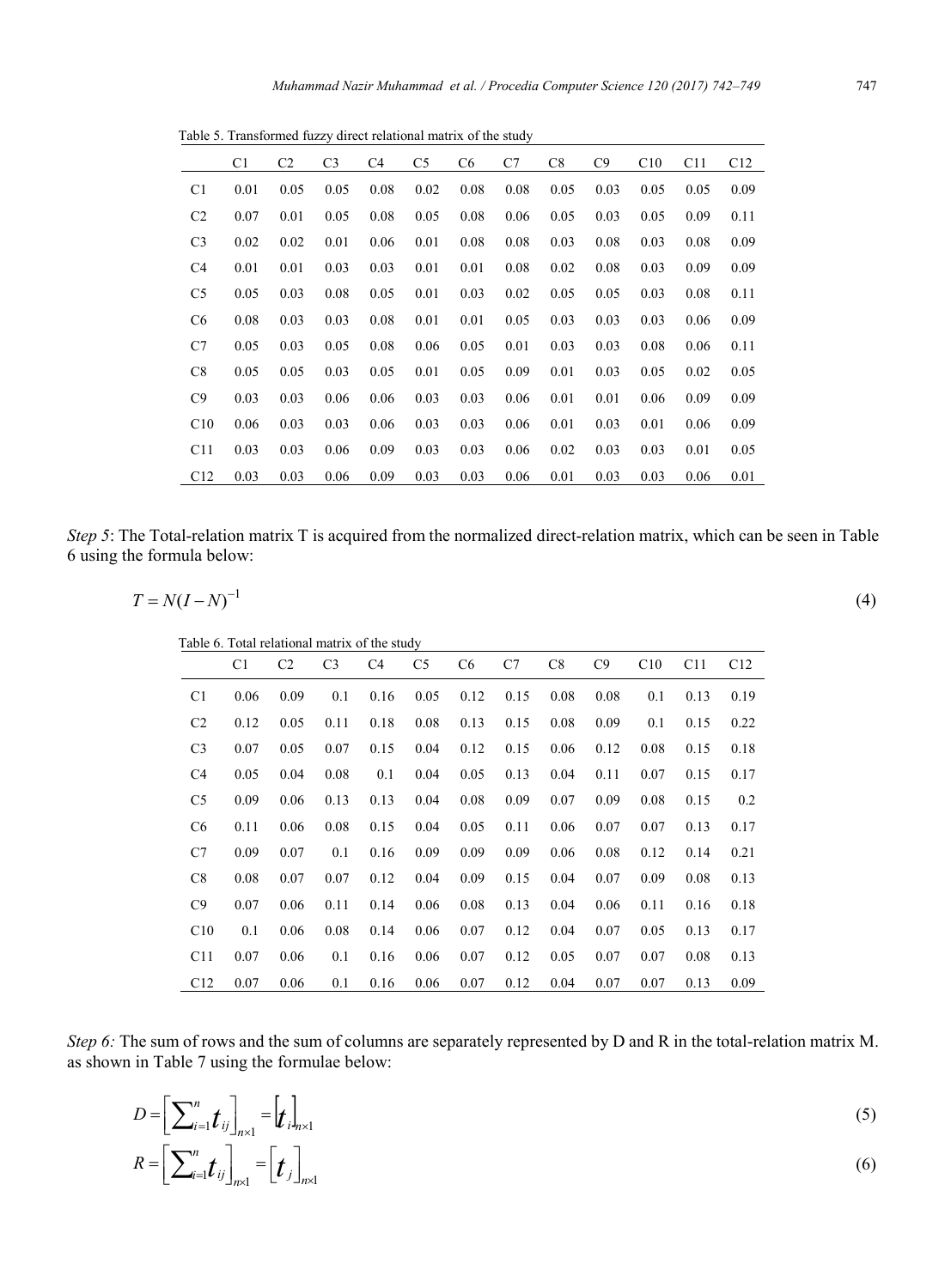|                | C1   | C <sub>2</sub> | C <sub>3</sub> | C <sub>4</sub> | C5   | C6   | C7   | C8   | C9   | C10  | C11  | C12  |
|----------------|------|----------------|----------------|----------------|------|------|------|------|------|------|------|------|
| C1             | 0.01 | 0.05           | 0.05           | 0.08           | 0.02 | 0.08 | 0.08 | 0.05 | 0.03 | 0.05 | 0.05 | 0.09 |
| C <sub>2</sub> | 0.07 | 0.01           | 0.05           | 0.08           | 0.05 | 0.08 | 0.06 | 0.05 | 0.03 | 0.05 | 0.09 | 0.11 |
| C <sub>3</sub> | 0.02 | 0.02           | 0.01           | 0.06           | 0.01 | 0.08 | 0.08 | 0.03 | 0.08 | 0.03 | 0.08 | 0.09 |
| C4             | 0.01 | 0.01           | 0.03           | 0.03           | 0.01 | 0.01 | 0.08 | 0.02 | 0.08 | 0.03 | 0.09 | 0.09 |
| C <sub>5</sub> | 0.05 | 0.03           | 0.08           | 0.05           | 0.01 | 0.03 | 0.02 | 0.05 | 0.05 | 0.03 | 0.08 | 0.11 |
| C <sub>6</sub> | 0.08 | 0.03           | 0.03           | 0.08           | 0.01 | 0.01 | 0.05 | 0.03 | 0.03 | 0.03 | 0.06 | 0.09 |
| C7             | 0.05 | 0.03           | 0.05           | 0.08           | 0.06 | 0.05 | 0.01 | 0.03 | 0.03 | 0.08 | 0.06 | 0.11 |
| C8             | 0.05 | 0.05           | 0.03           | 0.05           | 0.01 | 0.05 | 0.09 | 0.01 | 0.03 | 0.05 | 0.02 | 0.05 |
| C9             | 0.03 | 0.03           | 0.06           | 0.06           | 0.03 | 0.03 | 0.06 | 0.01 | 0.01 | 0.06 | 0.09 | 0.09 |
| C10            | 0.06 | 0.03           | 0.03           | 0.06           | 0.03 | 0.03 | 0.06 | 0.01 | 0.03 | 0.01 | 0.06 | 0.09 |
| C11            | 0.03 | 0.03           | 0.06           | 0.09           | 0.03 | 0.03 | 0.06 | 0.02 | 0.03 | 0.03 | 0.01 | 0.05 |
| C12            | 0.03 | 0.03           | 0.06           | 0.09           | 0.03 | 0.03 | 0.06 | 0.01 | 0.03 | 0.03 | 0.06 | 0.01 |

Table 5. Transformed fuzzy direct relational matrix of the study

6 *Muhammad Nazir Muhammad et al./ Procedia Computer Science 00 (2018) 000–000*

| Step 5: The Total-relation matrix T is acquired from the normalized direct-relation matrix, which can be seen in Table |  |  |  |  |
|------------------------------------------------------------------------------------------------------------------------|--|--|--|--|
| 6 using the formula below:                                                                                             |  |  |  |  |

| $T = N(I - N)^{-1}$ | (4) |
|---------------------|-----|
|                     |     |

|                | Table 6. Total relational matrix of the study |                |                |      |                |      |      |      |      |      |      |                 |
|----------------|-----------------------------------------------|----------------|----------------|------|----------------|------|------|------|------|------|------|-----------------|
|                | C1                                            | C <sub>2</sub> | C <sub>3</sub> | C4   | C <sub>5</sub> | C6   | C7   | C8   | C9   | C10  | C11  | C <sub>12</sub> |
| C1             | 0.06                                          | 0.09           | 0.1            | 0.16 | 0.05           | 0.12 | 0.15 | 0.08 | 0.08 | 0.1  | 0.13 | 0.19            |
| C <sub>2</sub> | 0.12                                          | 0.05           | 0.11           | 0.18 | 0.08           | 0.13 | 0.15 | 0.08 | 0.09 | 0.1  | 0.15 | 0.22            |
| C <sub>3</sub> | 0.07                                          | 0.05           | 0.07           | 0.15 | 0.04           | 0.12 | 0.15 | 0.06 | 0.12 | 0.08 | 0.15 | 0.18            |
| C4             | 0.05                                          | 0.04           | 0.08           | 0.1  | 0.04           | 0.05 | 0.13 | 0.04 | 0.11 | 0.07 | 0.15 | 0.17            |
| C <sub>5</sub> | 0.09                                          | 0.06           | 0.13           | 0.13 | 0.04           | 0.08 | 0.09 | 0.07 | 0.09 | 0.08 | 0.15 | 0.2             |
| C <sub>6</sub> | 0.11                                          | 0.06           | 0.08           | 0.15 | 0.04           | 0.05 | 0.11 | 0.06 | 0.07 | 0.07 | 0.13 | 0.17            |
| C7             | 0.09                                          | 0.07           | 0.1            | 0.16 | 0.09           | 0.09 | 0.09 | 0.06 | 0.08 | 0.12 | 0.14 | 0.21            |
| C8             | 0.08                                          | 0.07           | 0.07           | 0.12 | 0.04           | 0.09 | 0.15 | 0.04 | 0.07 | 0.09 | 0.08 | 0.13            |
| C9             | 0.07                                          | 0.06           | 0.11           | 0.14 | 0.06           | 0.08 | 0.13 | 0.04 | 0.06 | 0.11 | 0.16 | 0.18            |
| C10            | 0.1                                           | 0.06           | 0.08           | 0.14 | 0.06           | 0.07 | 0.12 | 0.04 | 0.07 | 0.05 | 0.13 | 0.17            |
| C11            | 0.07                                          | 0.06           | 0.1            | 0.16 | 0.06           | 0.07 | 0.12 | 0.05 | 0.07 | 0.07 | 0.08 | 0.13            |
| C12            | 0.07                                          | 0.06           | 0.1            | 0.16 | 0.06           | 0.07 | 0.12 | 0.04 | 0.07 | 0.07 | 0.13 | 0.09            |

*Step 6:* The sum of rows and the sum of columns are separately represented by D and R in the total-relation matrix M. as shown in Table 7 using the formulae below:

$$
D = \left[\sum_{i=1}^{n} t_{ij}\right]_{n \times 1} = \left[t_{i}\right]_{n \times 1}
$$
\n
$$
R = \left[\sum_{i=1}^{n} t_{ij}\right]_{n \times 1} = \left[t_{j}\right]_{n \times 1}
$$
\n(6)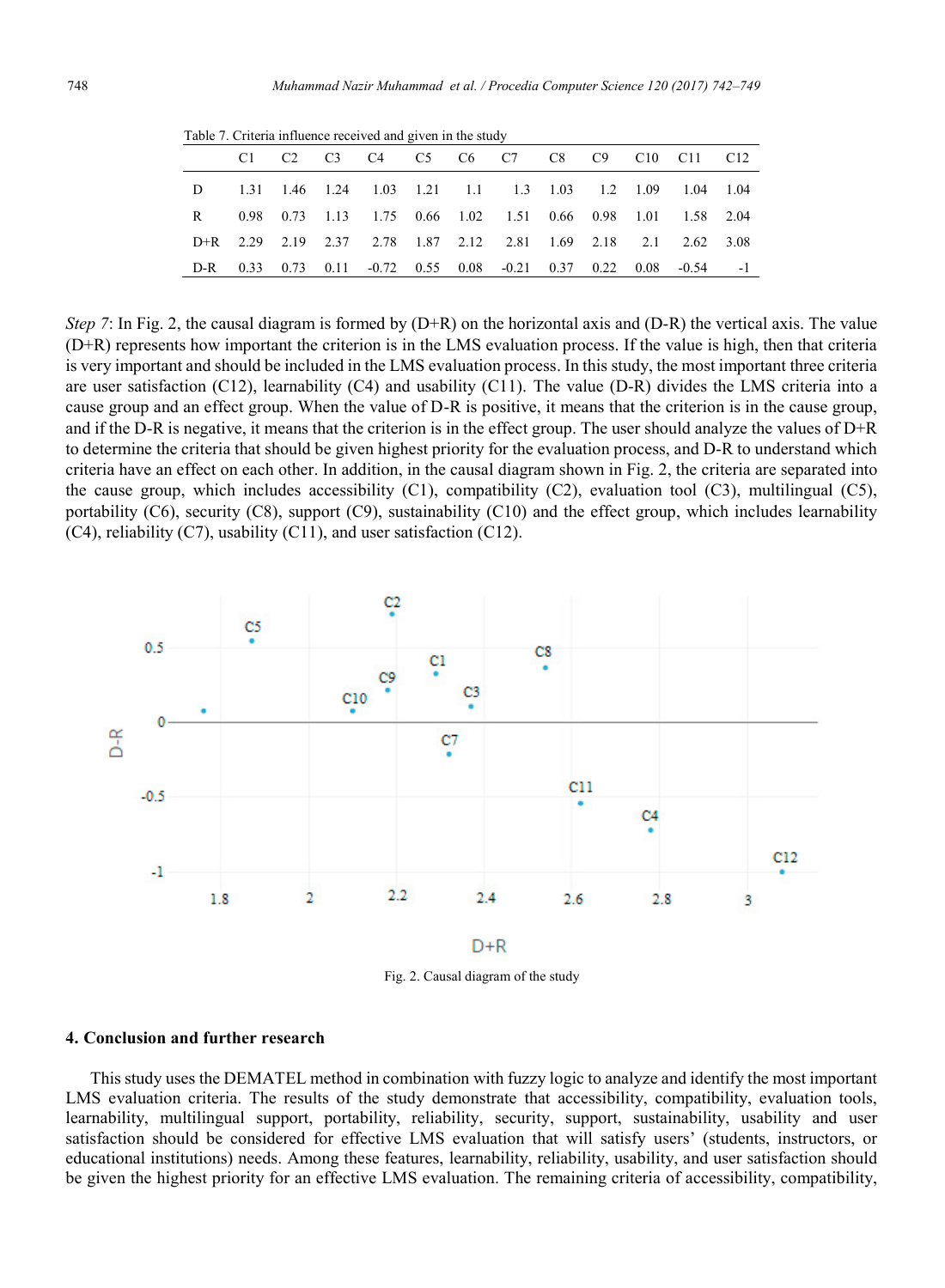*Muhammad Nazir Muhammad et al. / Procedia Computer Science 00 (2018) 000–000* 7

|  |  | Tuble 7: Chitchin inhuence received and given in the state?      |  |  |  |  |
|--|--|------------------------------------------------------------------|--|--|--|--|
|  |  | C1 C2 C3 C4 C5 C6 C7 C8 C9 C10 C11 C12                           |  |  |  |  |
|  |  | D 1.31 1.46 1.24 1.03 1.21 1.1 1.3 1.03 1.2 1.09 1.04 1.04       |  |  |  |  |
|  |  | R 0.98 0.73 1.13 1.75 0.66 1.02 1.51 0.66 0.98 1.01 1.58 2.04    |  |  |  |  |
|  |  | D+R 2.29 2.19 2.37 2.78 1.87 2.12 2.81 1.69 2.18 2.1 2.62 3.08   |  |  |  |  |
|  |  | D-R 0.33 0.73 0.11 -0.72 0.55 0.08 -0.21 0.37 0.22 0.08 -0.54 -1 |  |  |  |  |

Table 7. Criteria influence received and given in the study

*Step 7*: In Fig. 2, the causal diagram is formed by (D+R) on the horizontal axis and (D-R) the vertical axis. The value (D+R) represents how important the criterion is in the LMS evaluation process. If the value is high, then that criteria is very important and should be included in the LMS evaluation process. In this study, the most important three criteria are user satisfaction (C12), learnability (C4) and usability (C11). The value (D-R) divides the LMS criteria into a cause group and an effect group. When the value of D-R is positive, it means that the criterion is in the cause group, and if the D-R is negative, it means that the criterion is in the effect group. The user should analyze the values of D+R to determine the criteria that should be given highest priority for the evaluation process, and D-R to understand which criteria have an effect on each other. In addition, in the causal diagram shown in Fig. 2, the criteria are separated into the cause group, which includes accessibility  $(C1)$ , compatibility  $(C2)$ , evaluation tool  $(C3)$ , multilingual  $(C5)$ , portability (C6), security (C8), support (C9), sustainability (C10) and the effect group, which includes learnability (C4), reliability (C7), usability (C11), and user satisfaction (C12).



Fig. 2. Causal diagram of the study

#### **4. Conclusion and further research**

This study uses the DEMATEL method in combination with fuzzy logic to analyze and identify the most important LMS evaluation criteria. The results of the study demonstrate that accessibility, compatibility, evaluation tools, learnability, multilingual support, portability, reliability, security, support, sustainability, usability and user satisfaction should be considered for effective LMS evaluation that will satisfy users' (students, instructors, or educational institutions) needs. Among these features, learnability, reliability, usability, and user satisfaction should be given the highest priority for an effective LMS evaluation. The remaining criteria of accessibility, compatibility,